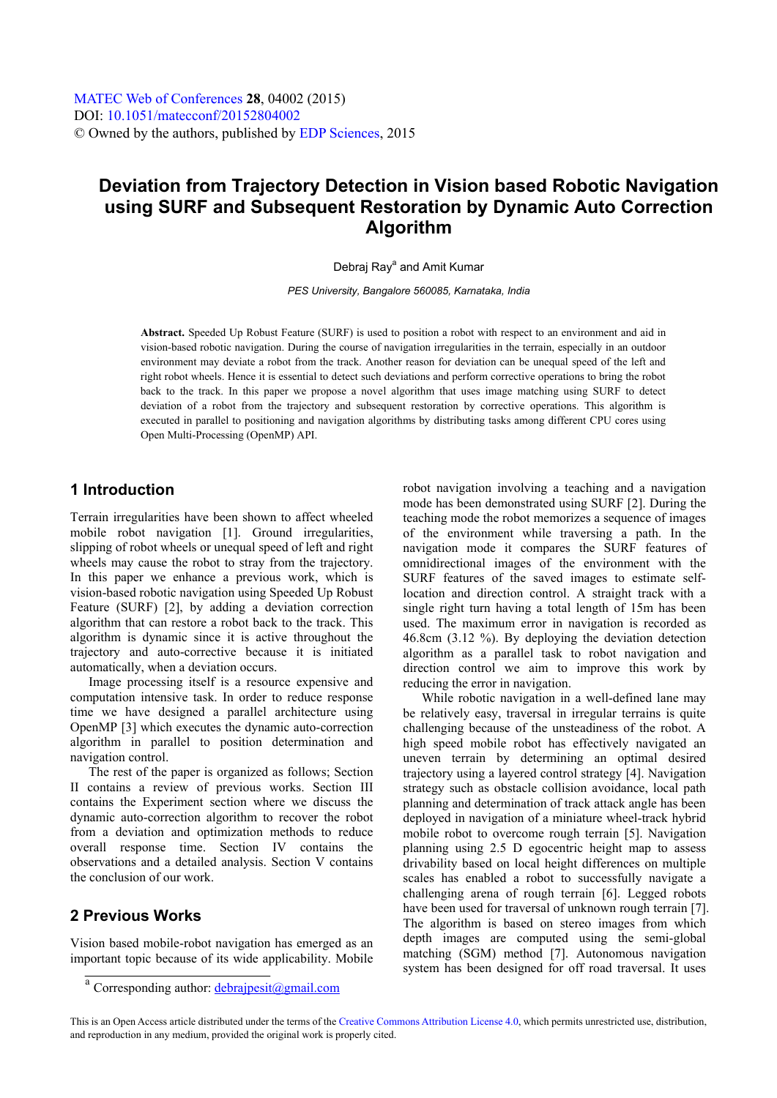# **Deviation from Trajectory Detection in Vision based Robotic Navigation using SURF and Subsequent Restoration by Dynamic Auto Correction Algorithm**

Debraj Ray<sup>a</sup> and Amit Kumar

*PES University, Bangalore 560085, Karnataka, India* 

**Abstract.** Speeded Up Robust Feature (SURF) is used to position a robot with respect to an environment and aid in vision-based robotic navigation. During the course of navigation irregularities in the terrain, especially in an outdoor environment may deviate a robot from the track. Another reason for deviation can be unequal speed of the left and right robot wheels. Hence it is essential to detect such deviations and perform corrective operations to bring the robot back to the track. In this paper we propose a novel algorithm that uses image matching using SURF to detect deviation of a robot from the trajectory and subsequent restoration by corrective operations. This algorithm is executed in parallel to positioning and navigation algorithms by distributing tasks among different CPU cores using Open Multi-Processing (OpenMP) API.

### **1 Introduction**

Terrain irregularities have been shown to affect wheeled mobile robot navigation [1]. Ground irregularities, slipping of robot wheels or unequal speed of left and right wheels may cause the robot to stray from the trajectory. In this paper we enhance a previous work, which is vision-based robotic navigation using Speeded Up Robust Feature (SURF) [2], by adding a deviation correction algorithm that can restore a robot back to the track. This algorithm is dynamic since it is active throughout the trajectory and auto-corrective because it is initiated automatically, when a deviation occurs.

Image processing itself is a resource expensive and computation intensive task. In order to reduce response time we have designed a parallel architecture using OpenMP [3] which executes the dynamic auto-correction algorithm in parallel to position determination and navigation control.

The rest of the paper is organized as follows; Section II contains a review of previous works. Section III contains the Experiment section where we discuss the dynamic auto-correction algorithm to recover the robot from a deviation and optimization methods to reduce overall response time. Section IV contains the observations and a detailed analysis. Section V contains the conclusion of our work.

### **2 Previous Works**

Vision based mobile-robot navigation has emerged as an important topic because of its wide applicability. Mobile

robot navigation involving a teaching and a navigation mode has been demonstrated using SURF [2]. During the teaching mode the robot memorizes a sequence of images of the environment while traversing a path. In the navigation mode it compares the SURF features of omnidirectional images of the environment with the SURF features of the saved images to estimate selflocation and direction control. A straight track with a single right turn having a total length of 15m has been used. The maximum error in navigation is recorded as 46.8cm (3.12 %). By deploying the deviation detection algorithm as a parallel task to robot navigation and direction control we aim to improve this work by reducing the error in navigation.

While robotic navigation in a well-defined lane may be relatively easy, traversal in irregular terrains is quite challenging because of the unsteadiness of the robot. A high speed mobile robot has effectively navigated an uneven terrain by determining an optimal desired trajectory using a layered control strategy [4]. Navigation strategy such as obstacle collision avoidance, local path planning and determination of track attack angle has been deployed in navigation of a miniature wheel-track hybrid mobile robot to overcome rough terrain [5]. Navigation planning using 2.5 D egocentric height map to assess drivability based on local height differences on multiple scales has enabled a robot to successfully navigate a challenging arena of rough terrain [6]. Legged robots have been used for traversal of unknown rough terrain [7]. The algorithm is based on stereo images from which depth images are computed using the semi-global matching (SGM) method [7]. Autonomous navigation system has been designed for off road traversal. It uses

<sup>&</sup>lt;sup>a</sup> Corresponding author: **debrajpesit@gmail.com** 

This is an Open Access article distributed under the terms of the [Creative Commons Attribution License 4.0](http://creativecommons.org/licenses/by/4.0), which permits unrestricted use, distribution, and reproduction in any medium, provided the original work is properly cited.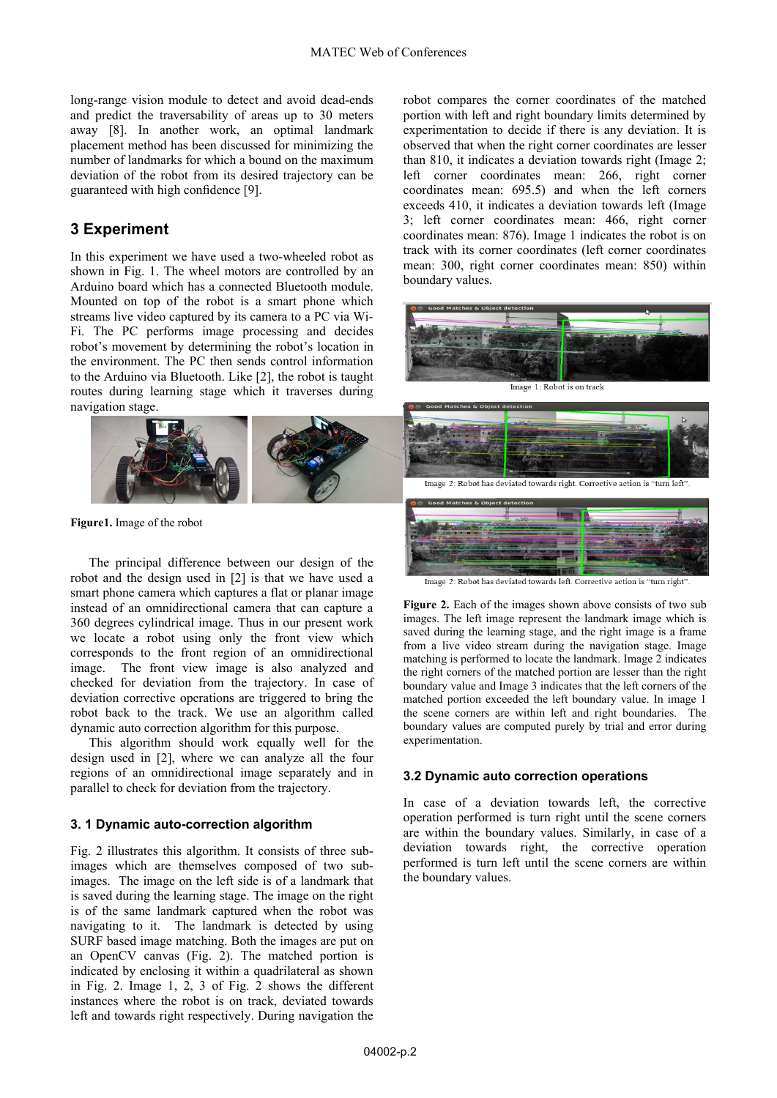long-range vision module to detect and avoid dead-ends and predict the traversability of areas up to 30 meters away [8]. In another work, an optimal landmark placement method has been discussed for minimizing the number of landmarks for which a bound on the maximum deviation of the robot from its desired trajectory can be guaranteed with high confidence [9].

### **3 Experiment**

In this experiment we have used a two-wheeled robot as shown in Fig. 1. The wheel motors are controlled by an Arduino board which has a connected Bluetooth module. Mounted on top of the robot is a smart phone which streams live video captured by its camera to a PC via Wi-Fi. The PC performs image processing and decides robot's movement by determining the robot's location in the environment. The PC then sends control information to the Arduino via Bluetooth. Like [2], the robot is taught routes during learning stage which it traverses during navigation stage.



**Figure1.** Image of the robot

The principal difference between our design of the robot and the design used in [2] is that we have used a smart phone camera which captures a flat or planar image instead of an omnidirectional camera that can capture a 360 degrees cylindrical image. Thus in our present work we locate a robot using only the front view which corresponds to the front region of an omnidirectional image. The front view image is also analyzed and checked for deviation from the trajectory. In case of deviation corrective operations are triggered to bring the robot back to the track. We use an algorithm called dynamic auto correction algorithm for this purpose.

This algorithm should work equally well for the design used in [2], where we can analyze all the four regions of an omnidirectional image separately and in parallel to check for deviation from the trajectory.

#### **3. 1 Dynamic auto-correction algorithm**

Fig. 2 illustrates this algorithm. It consists of three subimages which are themselves composed of two subimages. The image on the left side is of a landmark that is saved during the learning stage. The image on the right is of the same landmark captured when the robot was navigating to it. The landmark is detected by using SURF based image matching. Both the images are put on an OpenCV canvas (Fig. 2). The matched portion is indicated by enclosing it within a quadrilateral as shown in Fig. 2. Image 1, 2, 3 of Fig. 2 shows the different instances where the robot is on track, deviated towards left and towards right respectively. During navigation the

robot compares the corner coordinates of the matched portion with left and right boundary limits determined by experimentation to decide if there is any deviation. It is observed that when the right corner coordinates are lesser than 810, it indicates a deviation towards right (Image 2; left corner coordinates mean: 266, right corner coordinates mean: 695.5) and when the left corners exceeds 410, it indicates a deviation towards left (Image 3; left corner coordinates mean: 466, right corner coordinates mean: 876). Image 1 indicates the robot is on track with its corner coordinates (left corner coordinates mean: 300, right corner coordinates mean: 850) within boundary values.



Image 1: Robot is on track



Image 2: Robot has deviated towards left. Corrective action is "turn right"

Figure 2. Each of the images shown above consists of two sub images. The left image represent the landmark image which is saved during the learning stage, and the right image is a frame from a live video stream during the navigation stage. Image matching is performed to locate the landmark. Image 2 indicates the right corners of the matched portion are lesser than the right boundary value and Image 3 indicates that the left corners of the matched portion exceeded the left boundary value. In image 1 the scene corners are within left and right boundaries. The boundary values are computed purely by trial and error during experimentation.

#### **3.2 Dynamic auto correction operations**

In case of a deviation towards left, the corrective operation performed is turn right until the scene corners are within the boundary values. Similarly, in case of a deviation towards right, the corrective operation performed is turn left until the scene corners are within the boundary values.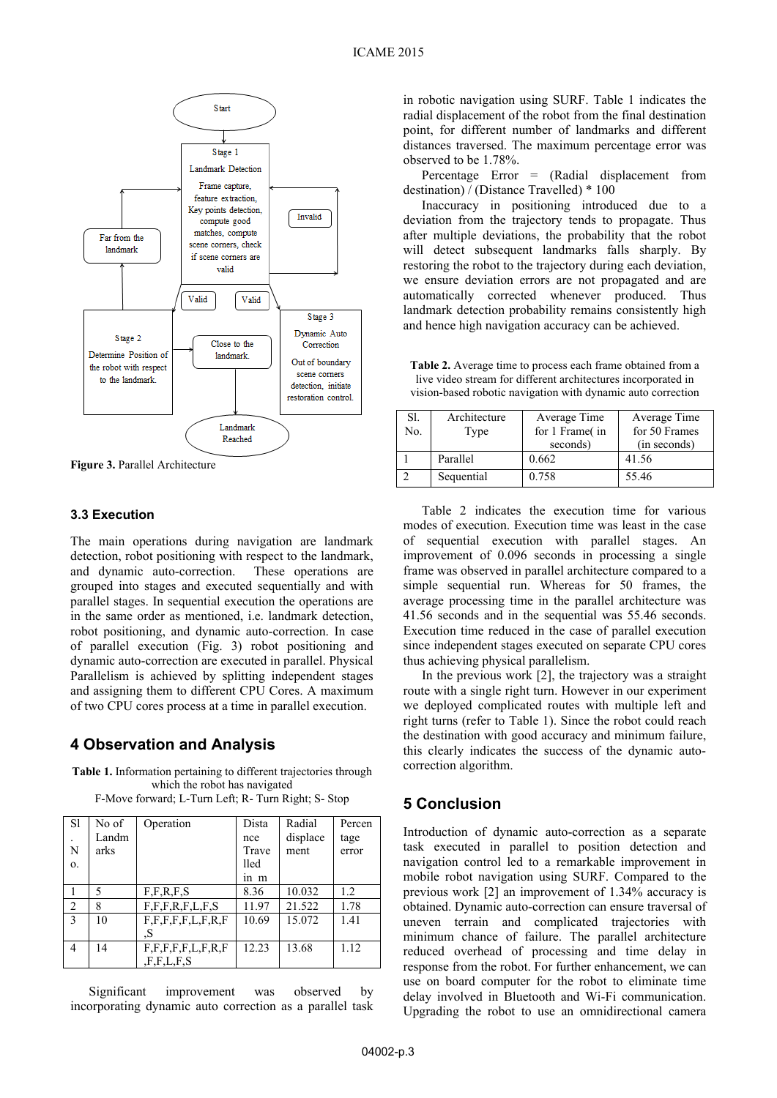

**Figure 3.** Parallel Architecture

#### **3.3 Execution**

The main operations during navigation are landmark detection, robot positioning with respect to the landmark, and dynamic auto-correction. These operations are grouped into stages and executed sequentially and with parallel stages. In sequential execution the operations are in the same order as mentioned, i.e. landmark detection, robot positioning, and dynamic auto-correction. In case of parallel execution (Fig. 3) robot positioning and dynamic auto-correction are executed in parallel. Physical Parallelism is achieved by splitting independent stages and assigning them to different CPU Cores. A maximum of two CPU cores process at a time in parallel execution.

### **4 Observation and Analysis**

**Table 1.** Information pertaining to different trajectories through which the robot has navigated F-Move forward; L-Turn Left; R- Turn Right; S- Stop

| S1             | No of | Operation                 | Dista | Radial   | Percen |
|----------------|-------|---------------------------|-------|----------|--------|
|                | Landm |                           | nce   | displace | tage   |
| N              | arks  |                           | Trave | ment     | error  |
| 0.             |       |                           | lled  |          |        |
|                |       |                           | ln m  |          |        |
|                | 5     | F.F.R.F.S                 | 8.36  | 10.032   | 1.2    |
| $\overline{2}$ | 8     | F, F, F, R, F, L, F, S    | 11.97 | 21.522   | 1.78   |
| 3              | 10    | F, F, F, F, F, L, F, R, F | 10.69 | 15.072   | 1.41   |
|                |       | .S                        |       |          |        |
| $\overline{4}$ | 14    | F.F.F.F.F.E.L.F.R.F       | 12.23 | 13.68    | 1.12   |
|                |       | ,F,F,L,F,S                |       |          |        |

Significant improvement was observed by incorporating dynamic auto correction as a parallel task

in robotic navigation using SURF. Table 1 indicates the radial displacement of the robot from the final destination point, for different number of landmarks and different distances traversed. The maximum percentage error was observed to be 1.78%.

Percentage Error = (Radial displacement from destination) / (Distance Travelled) \* 100

Inaccuracy in positioning introduced due to a deviation from the trajectory tends to propagate. Thus after multiple deviations, the probability that the robot will detect subsequent landmarks falls sharply. By restoring the robot to the trajectory during each deviation, we ensure deviation errors are not propagated and are automatically corrected whenever produced. Thus landmark detection probability remains consistently high and hence high navigation accuracy can be achieved.

**Table 2.** Average time to process each frame obtained from a live video stream for different architectures incorporated in vision-based robotic navigation with dynamic auto correction

| Sl.<br>No. | Architecture<br>Type | Average Time<br>for 1 Frame(in | Average Time<br>for 50 Frames |
|------------|----------------------|--------------------------------|-------------------------------|
|            |                      | seconds)                       | (in seconds)                  |
|            | Parallel             | 0.662                          | 41.56                         |
|            | Sequential           | 0.758                          | 55.46                         |

Table 2 indicates the execution time for various modes of execution. Execution time was least in the case of sequential execution with parallel stages. An improvement of 0.096 seconds in processing a single frame was observed in parallel architecture compared to a simple sequential run. Whereas for 50 frames, the average processing time in the parallel architecture was 41.56 seconds and in the sequential was 55.46 seconds. Execution time reduced in the case of parallel execution since independent stages executed on separate CPU cores thus achieving physical parallelism.

In the previous work [2], the trajectory was a straight route with a single right turn. However in our experiment we deployed complicated routes with multiple left and right turns (refer to Table 1). Since the robot could reach the destination with good accuracy and minimum failure, this clearly indicates the success of the dynamic autocorrection algorithm.

### **5 Conclusion**

Introduction of dynamic auto-correction as a separate task executed in parallel to position detection and navigation control led to a remarkable improvement in mobile robot navigation using SURF. Compared to the previous work [2] an improvement of 1.34% accuracy is obtained. Dynamic auto-correction can ensure traversal of uneven terrain and complicated trajectories with minimum chance of failure. The parallel architecture reduced overhead of processing and time delay in response from the robot. For further enhancement, we can use on board computer for the robot to eliminate time delay involved in Bluetooth and Wi-Fi communication. Upgrading the robot to use an omnidirectional camera